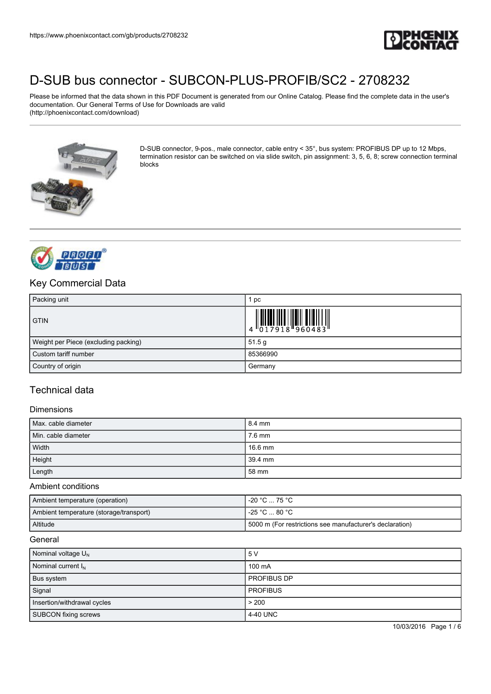

Please be informed that the data shown in this PDF Document is generated from our Online Catalog. Please find the complete data in the user's documentation. Our General Terms of Use for Downloads are valid (http://phoenixcontact.com/download)



D-SUB connector, 9-pos., male connector, cable entry < 35°, bus system: PROFIBUS DP up to 12 Mbps, termination resistor can be switched on via slide switch, pin assignment: 3, 5, 6, 8; screw connection terminal blocks



## Key Commercial Data

| Packing unit                         | рc                                                                                                                                                                                                                                                                                                                       |
|--------------------------------------|--------------------------------------------------------------------------------------------------------------------------------------------------------------------------------------------------------------------------------------------------------------------------------------------------------------------------|
| <b>GTIN</b>                          | $\begin{array}{c} 1 & 0 & 0 & 0 & 0 \\ 0 & 0 & 1 & 7 & 9 & 1 & 8 \\ 0 & 0 & 1 & 7 & 9 & 1 & 8 \\ 0 & 0 & 0 & 0 & 0 & 0 & 0 \\ 0 & 0 & 0 & 0 & 0 & 0 & 0 \\ 0 & 0 & 0 & 0 & 0 & 0 & 0 \\ 0 & 0 & 0 & 0 & 0 & 0 & 0 \\ 0 & 0 & 0 & 0 & 0 & 0 & 0 \\ 0 & 0 & 0 & 0 & 0 & 0 & 0 & 0 \\ 0 & 0 & 0 & 0 & 0 & 0 & 0 & 0 \\ 0 &$ |
| Weight per Piece (excluding packing) | 51.5 <sub>g</sub>                                                                                                                                                                                                                                                                                                        |
| Custom tariff number                 | 85366990                                                                                                                                                                                                                                                                                                                 |
| Country of origin                    | Germany                                                                                                                                                                                                                                                                                                                  |

## Technical data

#### Dimensions

| Max. cable diameter | 18.4 mm    |
|---------------------|------------|
| Min. cable diameter | 7.6 mm     |
| Width               | 16.6 mm    |
| Height              | $139.4$ mm |
| Length              | 58 mm      |

#### Ambient conditions

| Ambient temperature (operation)         | l -20 °C … 75 °C .                                        |
|-----------------------------------------|-----------------------------------------------------------|
| Ambient temperature (storage/transport) | l -25 °C … 80 °C .                                        |
| Altitude                                | 15000 m (For restrictions see manufacturer's declaration) |

#### General

| Nominal voltage $U_{N}$        | 5 V                |
|--------------------------------|--------------------|
| Nominal current I <sub>N</sub> | 100 mA             |
| Bus system                     | <b>PROFIBUS DP</b> |
| Signal                         | <b>PROFIBUS</b>    |
| Insertion/withdrawal cycles    | > 200              |
| SUBCON fixing screws           | 4-40 UNC           |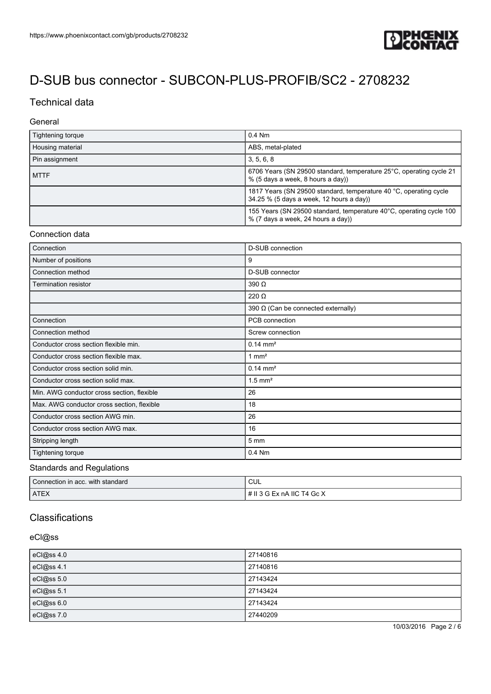

# Technical data

### General

| Tightening torque | $0.4$ Nm                                                                                                      |
|-------------------|---------------------------------------------------------------------------------------------------------------|
| Housing material  | ABS, metal-plated                                                                                             |
| Pin assignment    | 3, 5, 6, 8                                                                                                    |
| <b>MTTF</b>       | 6706 Years (SN 29500 standard, temperature 25°C, operating cycle 21<br>% (5 days a week, 8 hours a day))      |
|                   | 1817 Years (SN 29500 standard, temperature 40 °C, operating cycle<br>34.25 % (5 days a week, 12 hours a day)) |
|                   | 155 Years (SN 29500 standard, temperature 40°C, operating cycle 100<br>% (7 days a week, 24 hours a day))     |

### Connection data

| Connection                                 | <b>D-SUB</b> connection                    |
|--------------------------------------------|--------------------------------------------|
| Number of positions                        | 9                                          |
| Connection method                          | D-SUB connector                            |
| Termination resistor                       | $390 \Omega$                               |
|                                            | $220 \Omega$                               |
|                                            | 390 $\Omega$ (Can be connected externally) |
| Connection                                 | PCB connection                             |
| Connection method                          | Screw connection                           |
| Conductor cross section flexible min.      | $0.14 \, \text{mm}^2$                      |
| Conductor cross section flexible max.      | $1 \text{ mm}^2$                           |
| Conductor cross section solid min.         | $0.14 \, \text{mm}^2$                      |
| Conductor cross section solid max.         | $1.5$ mm <sup>2</sup>                      |
| Min. AWG conductor cross section, flexible | 26                                         |
| Max. AWG conductor cross section, flexible | 18                                         |
| Conductor cross section AWG min.           | 26                                         |
| Conductor cross section AWG max.           | 16                                         |
| Stripping length                           | 5 <sub>mm</sub>                            |
| Tightening torque                          | $0.4$ Nm                                   |

#### Standards and Regulations

| Connection in acc. with standard | CUL                          |
|----------------------------------|------------------------------|
| <b>ATEX</b>                      | I # II 3 G Ex nA IIC T4 Gc X |

## **Classifications**

## eCl@ss

| eCl@ss 4.0 | 27140816 |
|------------|----------|
| eCl@ss 4.1 | 27140816 |
| eCl@ss 5.0 | 27143424 |
| eCl@ss 5.1 | 27143424 |
| eCl@ss 6.0 | 27143424 |
| eCl@ss 7.0 | 27440209 |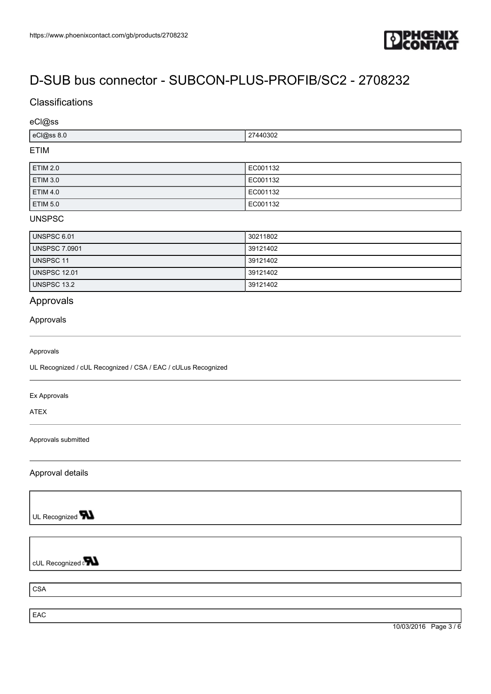

## **Classifications**

### eCl@ss

| $100$ ss<br>$\sim$<br>ວວ ບ.ບ<br>___ | .<br>27440302 |
|-------------------------------------|---------------|
|                                     |               |

## ETIM

| <b>ETIM 2.0</b> | EC001132 |
|-----------------|----------|
| <b>ETIM 3.0</b> | EC001132 |
| <b>ETIM 4.0</b> | EC001132 |
| <b>ETIM 5.0</b> | EC001132 |

## UNSPSC

| UNSPSC 6.01   | 30211802 |
|---------------|----------|
| UNSPSC 7.0901 | 39121402 |
| UNSPSC 11     | 39121402 |
| UNSPSC 12.01  | 39121402 |
| UNSPSC 13.2   | 39121402 |

# Approvals

### Approvals

#### Approvals

UL Recognized / cUL Recognized / CSA / EAC / cULus Recognized

#### Ex Approvals

ATEX

Approvals submitted

Approval details

UL Recognized **W** 

cUL Recognized on

CSA

**EAC**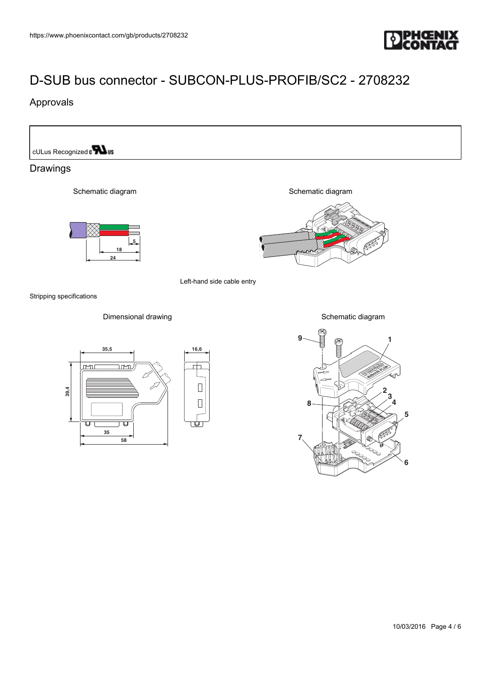

# Approvals

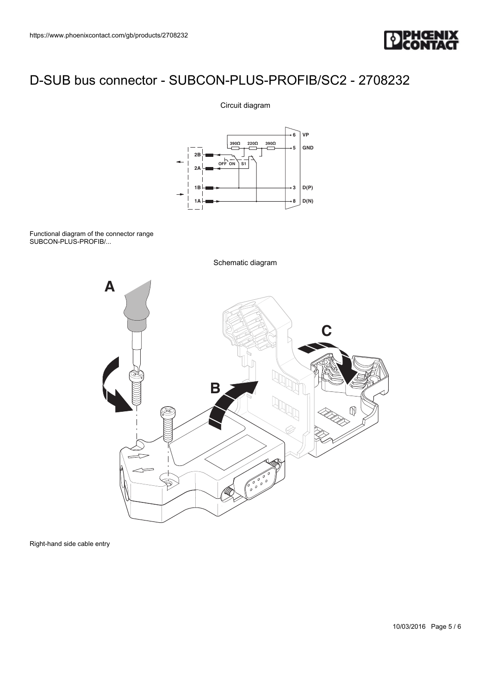

## Circuit diagram



Functional diagram of the connector range SUBCON-PLUS-PROFIB/...



Right-hand side cable entry